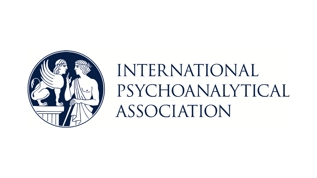

# INTERNATIONAL PSYCHOANALYTICAL ASSOCIATION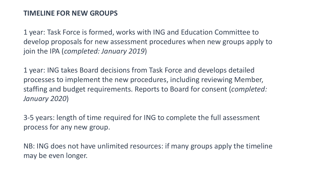#### **TIMELINE FOR NEW GROUPS**

1 year: Task Force is formed, works with ING and Education Committee to develop proposals for new assessment procedures when new groups apply to join the IPA (*completed: January 2019*)

1 year: ING takes Board decisions from Task Force and develops detailed processes to implement the new procedures, including reviewing Member, staffing and budget requirements. Reports to Board for consent (*completed: January 2020*)

3-5 years: length of time required for ING to complete the full assessment process for any new group.

NB: ING does not have unlimited resources: if many groups apply the timeline may be even longer.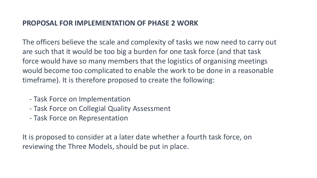#### **PROPOSAL FOR IMPLEMENTATION OF PHASE 2 WORK**

The officers believe the scale and complexity of tasks we now need to carry out are such that it would be too big a burden for one task force (and that task force would have so many members that the logistics of organising meetings would become too complicated to enable the work to be done in a reasonable timeframe). It is therefore proposed to create the following:

- Task Force on Implementation
- Task Force on Collegial Quality Assessment
- Task Force on Representation

It is proposed to consider at a later date whether a fourth task force, on reviewing the Three Models, should be put in place.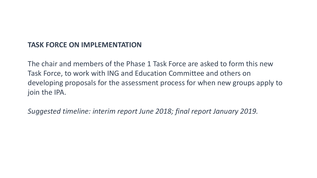## **TASK FORCE ON IMPLEMENTATION**

The chair and members of the Phase 1 Task Force are asked to form this new Task Force, to work with ING and Education Committee and others on developing proposals for the assessment process for when new groups apply to join the IPA.

*Suggested timeline: interim report June 2018; final report January 2019.*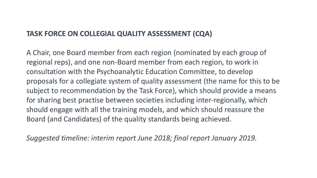## **TASK FORCE ON COLLEGIAL QUALITY ASSESSMENT (CQA)**

A Chair, one Board member from each region (nominated by each group of regional reps), and one non-Board member from each region, to work in consultation with the Psychoanalytic Education Committee, to develop proposals for a collegiate system of quality assessment (the name for this to be subject to recommendation by the Task Force), which should provide a means for sharing best practise between societies including inter-regionally, which should engage with all the training models, and which should reassure the Board (and Candidates) of the quality standards being achieved.

*Suggested timeline: interim report June 2018; final report January 2019.*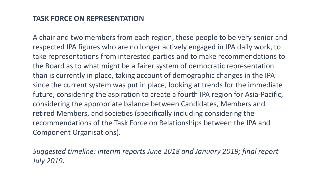## **TASK FORCE ON REPRESENTATION**

A chair and two members from each region, these people to be very senior and respected IPA figures who are no longer actively engaged in IPA daily work, to take representations from interested parties and to make recommendations to the Board as to what might be a fairer system of democratic representation than is currently in place, taking account of demographic changes in the IPA since the current system was put in place, looking at trends for the immediate future, considering the aspiration to create a fourth IPA region for Asia-Pacific, considering the appropriate balance between Candidates, Members and retired Members, and societies (specifically including considering the recommendations of the Task Force on Relationships between the IPA and Component Organisations).

*Suggested timeline: interim reports June 2018 and January 2019; final report July 2019.*